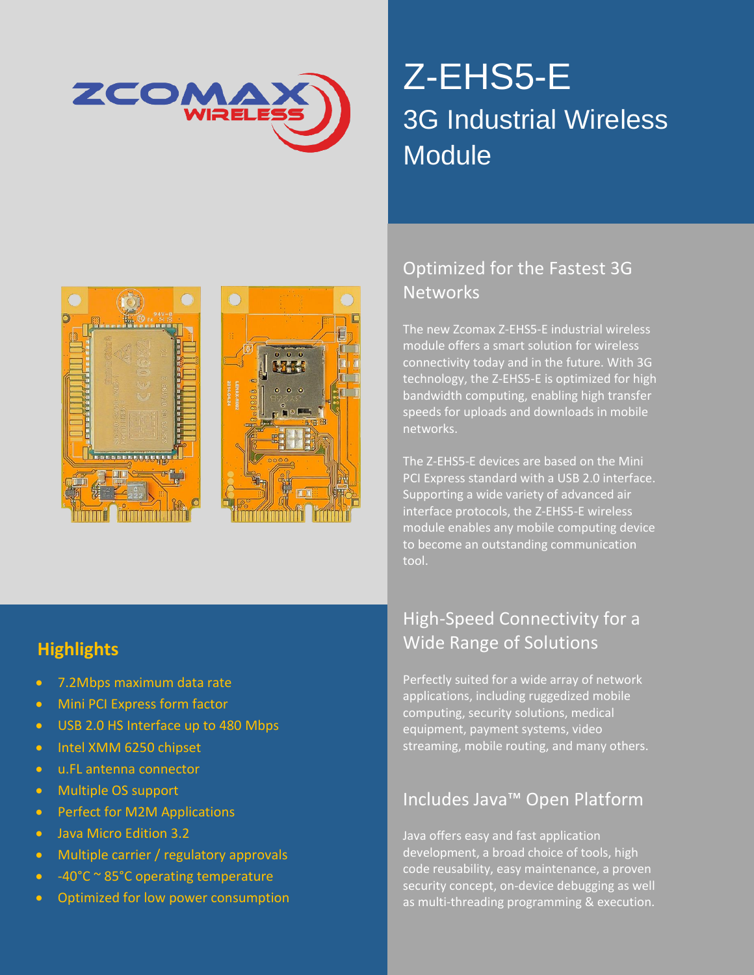

# Z-EHS5-E 3G Industrial Wireless **Module**





### Optimized for the Fastest 3G **Networks**

The new Zcomax Z-EHS5-E industrial wireless module offers a smart solution for wireless connectivity today and in the future. With 3G technology, the Z-EHS5-E is optimized for high bandwidth computing, enabling high transfer speeds for uploads and downloads in mobile networks.

The Z-EHS5-E devices are based on the Mini PCI Express standard with a USB 2.0 interface. Supporting a wide variety of advanced air interface protocols, the Z-EHS5-E wireless module enables any mobile computing device to become an outstanding communication tool.

#### **Highlights**

- 7.2Mbps maximum data rate
- Mini PCI Express form factor
- USB 2.0 HS Interface up to 480 Mbps
- Intel XMM 6250 chipset
- u.FL antenna connector
- Multiple OS support
- Perfect for M2M Applications
- Java Micro Edition 3.2
- **•** Multiple carrier / regulatory approvals
- $-40^{\circ}$ C ~ 85°C operating temperature with permission permission permission permitsion permitsion permitsion permitsion permitsion permitsion permitsion permitsion permitsion permitsion permitsion permitsion permitsio
- Optimized for low power consumption  $\blacksquare$  as mu

#### High-Speed Connectivity for a Wide Range of Solutions

Perfectly suited for a wide array of network applications, including ruggedized mobile computing, security solutions, medical equipment, payment systems, video streaming, mobile routing, and many others.

#### Includes Java™ Open Platform

All rights reserved. No part of this publication may be reproduced in any form or by any form or by any form or by any form or by any form or by any form or by any form or by any form or by any form or by any form or by an Java offers easy and fast application development, a broad choice of tools, high security concept, on-device debugging as well as multi-threading programming & execution.

ww.zcomax.com Email[: sales@zcomax.com](mailto:sales@zcomax.com) Email: sales@zcomax.com Document DS-ZEHS5-E 1.4 10002 150824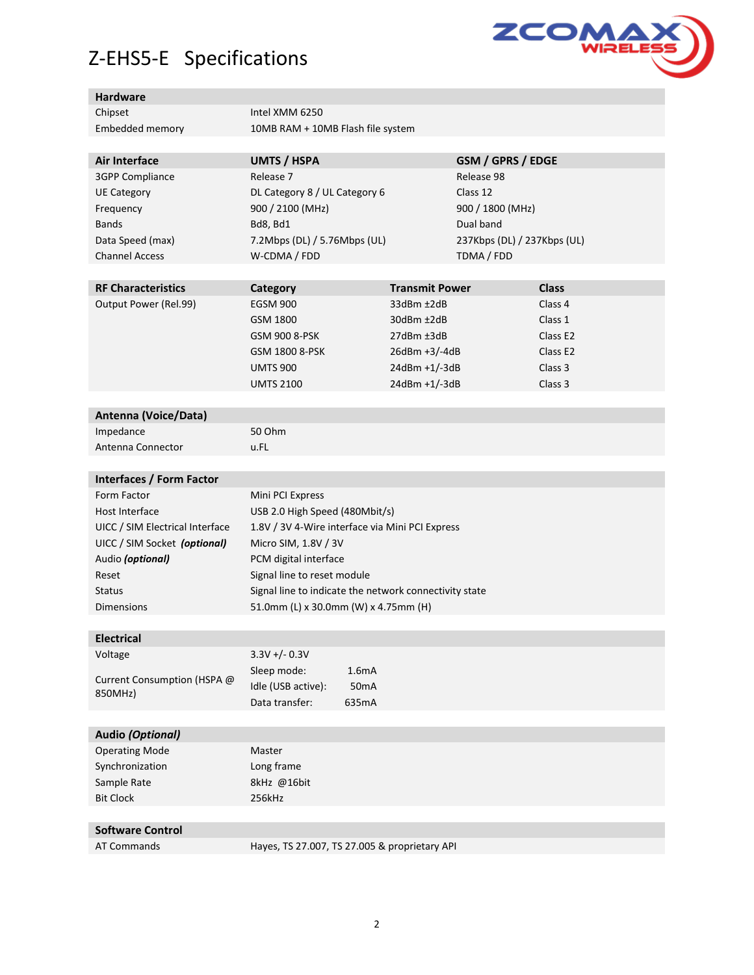# Z-EHS5-E Specifications



#### **Hardware**

| Chipset         | Intel XMM 6250                    |
|-----------------|-----------------------------------|
| Embedded memory | 10MB RAM + 10MB Flash file system |

| <b>UMTS / HSPA</b>            | GSM / GPRS / EDGE           |
|-------------------------------|-----------------------------|
| Release 7                     | Release 98                  |
| DL Category 8 / UL Category 6 | Class 12                    |
| 900 / 2100 (MHz)              | 900 / 1800 (MHz)            |
| Bd8, Bd1                      | Dual band                   |
| 7.2Mbps (DL) / 5.76Mbps (UL)  | 237Kbps (DL) / 237Kbps (UL) |
| W-CDMA / FDD                  | TDMA / FDD                  |
|                               |                             |

| <b>RF Characteristics</b> | Category         | <b>Transmit Power</b> | <b>Class</b>         |
|---------------------------|------------------|-----------------------|----------------------|
| Output Power (Rel.99)     | <b>EGSM 900</b>  | 33dBm ±2dB            | Class 4              |
|                           | GSM 1800         | $30$ dBm $\pm$ 2dB    | Class 1              |
|                           | GSM 900 8-PSK    | $27$ dBm $±3$ dB      | Class E <sub>2</sub> |
|                           | GSM 1800 8-PSK   | $26dBm +3/-4dB$       | Class E <sub>2</sub> |
|                           | <b>UMTS 900</b>  | $24dBm + 1/-3dB$      | Class 3              |
|                           | <b>UMTS 2100</b> | $24dBm + 1/-3dB$      | Class 3              |

| <b>Antenna (Voice/Data)</b> |        |
|-----------------------------|--------|
| Impedance                   | 50 Ohm |
| Antenna Connector           | u.FL   |

| Interfaces / Form Factor        |                                                        |
|---------------------------------|--------------------------------------------------------|
| Form Factor                     | Mini PCI Express                                       |
| Host Interface                  | USB 2.0 High Speed (480Mbit/s)                         |
| UICC / SIM Electrical Interface | 1.8V / 3V 4-Wire interface via Mini PCI Express        |
| UICC / SIM Socket (optional)    | Micro SIM, 1.8V / 3V                                   |
| Audio (optional)                | PCM digital interface                                  |
| Reset                           | Signal line to reset module                            |
| <b>Status</b>                   | Signal line to indicate the network connectivity state |
| <b>Dimensions</b>               | 51.0mm (L) x 30.0mm (W) x 4.75mm (H)                   |
|                                 |                                                        |

| <b>Electrical</b>                      |                    |                    |
|----------------------------------------|--------------------|--------------------|
| Voltage                                | $3.3V + (-0.3V)$   |                    |
| Current Consumption (HSPA @<br>850MHz) | Sleep mode:        | 1.6 <sub>m</sub> A |
|                                        | Idle (USB active): | 50 <sub>m</sub> A  |
|                                        | Data transfer:     | 635mA              |
|                                        |                    |                    |
| Audio (Ontional)                       |                    |                    |

| Audio ( <i>Optional)</i> |             |
|--------------------------|-------------|
| <b>Operating Mode</b>    | Master      |
| Synchronization          | Long frame  |
| Sample Rate              | 8kHz @16bit |
| <b>Bit Clock</b>         | 256kHz      |
|                          |             |
|                          |             |

**Software Control**

AT Commands Hayes, TS 27.007, TS 27.005 & proprietary API